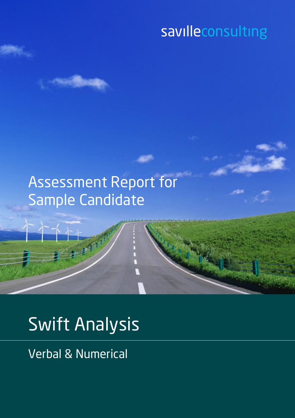# Assessment Report for Sample Candidate

# Swift Analysis

Verbal & Numerical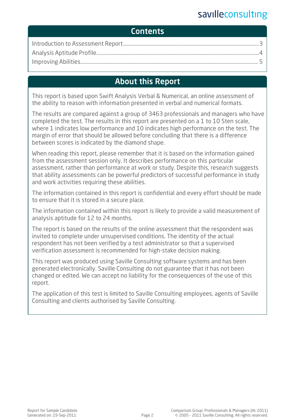### **Contents**

## About this Report

This report is based upon Swift Analysis Verbal & Numerical, an online assessment of the ability to reason with information presented in verbal and numerical formats.

The results are compared against a group of 3463 professionals and managers who have completed the test. The results in this report are presented on a 1 to 10 Sten scale, where 1 indicates low performance and 10 indicates high performance on the test. The margin of error that should be allowed before concluding that there is a difference between scores is indicated by the diamond shape.

When reading this report, please remember that it is based on the information gained from the assessment session only. It describes performance on this particular assessment, rather than performance at work or study. Despite this, research suggests that ability assessments can be powerful predictors of successful performance in study and work activities requiring these abilities.

The information contained in this report is confidential and every effort should be made to ensure that it is stored in a secure place.

The information contained within this report is likely to provide a valid measurement of analysis aptitude for 12 to 24 months.

The report is based on the results of the online assessment that the respondent was invited to complete under unsupervised conditions. The identity of the actual respondent has not been verified by a test administrator so that a supervised verification assessment is recommended for high-stake decision making.

This report was produced using Saville Consulting software systems and has been generated electronically. Saville Consulting do not guarantee that it has not been changed or edited. We can accept no liability for the consequences of the use of this report.

The application of this test is limited to Saville Consulting employees, agents of Saville Consulting and clients authorised by Saville Consulting.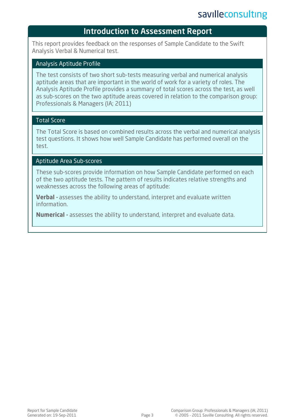## Introduction to Assessment Report

This report provides feedback on the responses of Sample Candidate to the Swift Analysis Verbal & Numerical test.

#### Analysis Aptitude Profile

The test consists of two short sub-tests measuring verbal and numerical analysis aptitude areas that are important in the world of work for a variety of roles. The Analysis Aptitude Profile provides a summary of total scores across the test, as well as sub-scores on the two aptitude areas covered in relation to the comparison group: Professionals & Managers (IA; 2011)

#### Total Score

The Total Score is based on combined results across the verbal and numerical analysis test questions. It shows how well Sample Candidate has performed overall on the test.

#### Aptitude Area Sub-scores

These sub-scores provide information on how Sample Candidate performed on each of the two aptitude tests. The pattern of results indicates relative strengths and weaknesses across the following areas of aptitude:

**Verbal -** assesses the ability to understand, interpret and evaluate written information.

**Numerical -** assesses the ability to understand, interpret and evaluate data.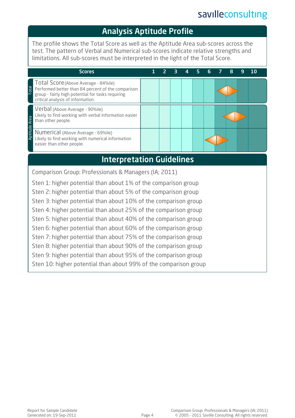## Analysis Aptitude Profile

The profile shows the Total Score as well as the Aptitude Area sub-scores across the test. The pattern of Verbal and Numerical sub-scores indicate relative strengths and limitations. All sub-scores must be interpreted in the light of the Total Score.

| <b>Scores</b>                                                                                                                                                                                        |  |  | $\mathbf{R}$ | $\blacksquare$ | 5 | 6 |  | 8 |  | 10 |
|------------------------------------------------------------------------------------------------------------------------------------------------------------------------------------------------------|--|--|--------------|----------------|---|---|--|---|--|----|
| Total Score (Above Average - 84%ile)<br><b>Total</b><br>Performed better than 84 percent of the comparison<br>group - fairly high potential for tasks requiring<br>critical analysis of information. |  |  |              |                |   |   |  |   |  |    |
| Verbal (Above Average - 90%ile)<br>Likely to find working with verbal information easier<br>Area<br>than other people.                                                                               |  |  |              |                |   |   |  |   |  |    |
| Aptitude<br>Numerical (Above Average - 69%ile)<br>Likely to find working with numerical information<br>easier than other people.                                                                     |  |  |              |                |   |   |  |   |  |    |
| <b>Interpretation Guidelines</b>                                                                                                                                                                     |  |  |              |                |   |   |  |   |  |    |
| Comparison Group: Professionals & Managers (IA; 2011)                                                                                                                                                |  |  |              |                |   |   |  |   |  |    |

Sten 1: higher potential than about 1% of the comparison group Sten 2: higher potential than about 5% of the comparison group Sten 3: higher potential than about 10% of the comparison group Sten 4: higher potential than about 25% of the comparison group Sten 5: higher potential than about 40% of the comparison group Sten 6: higher potential than about 60% of the comparison group Sten 7: higher potential than about 75% of the comparison group Sten 8: higher potential than about 90% of the comparison group Sten 9: higher potential than about 95% of the comparison group Sten 10: higher potential than about 99% of the comparison group